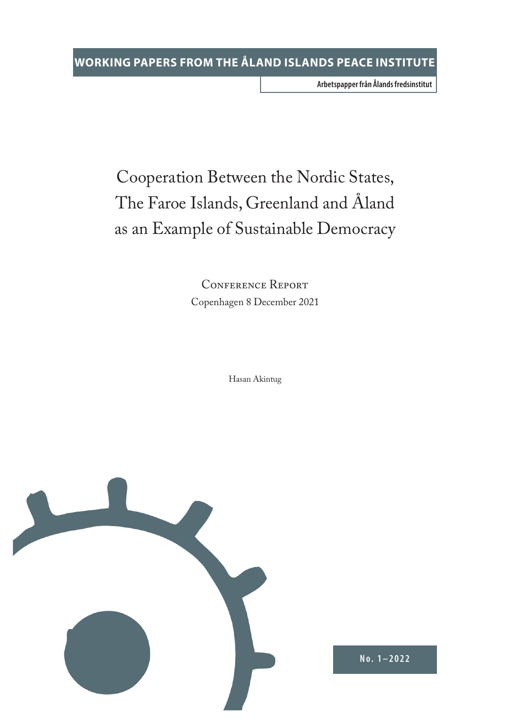**Arbetspapper från Ålands fredsinstitut**

# Cooperation Between the Nordic States, The Faroe Islands, Greenland and Åland as an Example of Sustainable Democracy

CONFERENCE REPORT Copenhagen 8 December 2021

Hasan Akintug



**No. 1–2022**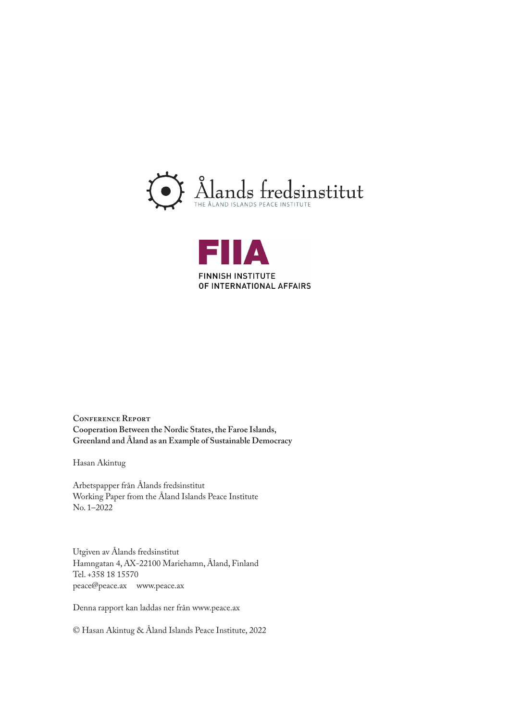



**Conference Report Cooperation Between the Nordic States, the Faroe Islands, Greenland and Åland as an Example of Sustainable Democracy**

Hasan Akintug

Arbetspapper från Ålands fredsinstitut Working Paper from the Åland Islands Peace Institute No. 1–2022

Utgiven av Ålands fredsinstitut Hamngatan 4, AX-22100 Mariehamn, Åland, Finland Tel. +358 18 15570 peace@peace.ax www.peace.ax

Denna rapport kan laddas ner från www.peace.ax

© Hasan Akintug & Åland Islands Peace Institute, 2022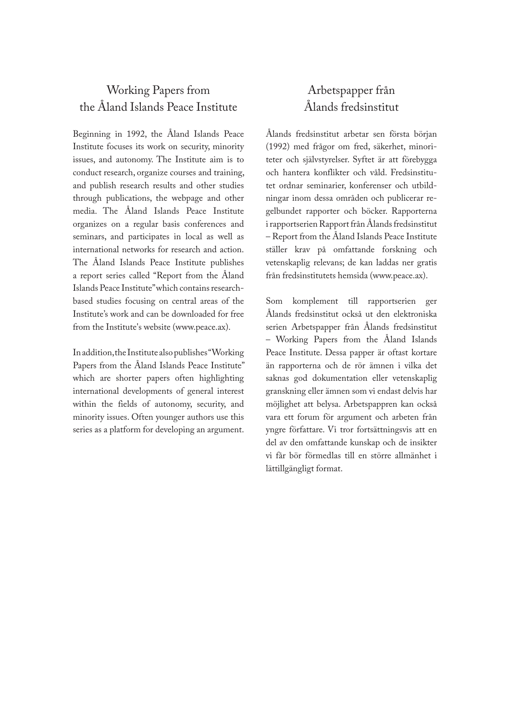## Working Papers from the Åland Islands Peace Institute

Beginning in 1992, the Åland Islands Peace Institute focuses its work on security, minority issues, and autonomy. The Institute aim is to conduct research, organize courses and training, and publish research results and other studies through publications, the webpage and other media. The Åland Islands Peace Institute organizes on a regular basis conferences and seminars, and participates in local as well as international networks for research and action. The Åland Islands Peace Institute publishes a report series called "Report from the Åland Islands Peace Institute" which contains researchbased studies focusing on central areas of the Institute's work and can be downloaded for free from the Institute's website (www.peace.ax).

In addition, the Institute also publishes "Working Papers from the Åland Islands Peace Institute" which are shorter papers often highlighting international developments of general interest within the fields of autonomy, security, and minority issues. Often younger authors use this series as a platform for developing an argument.

## Arbetspapper från Ålands fredsinstitut

Ålands fredsinstitut arbetar sen första början (1992) med frågor om fred, säkerhet, minoriteter och självstyrelser. Syftet är att förebygga och hantera konflikter och våld. Fredsinstitutet ordnar seminarier, konferenser och utbildningar inom dessa områden och publicerar regelbundet rapporter och böcker. Rapporterna i rapportserien Rapport från Ålands fredsinstitut – Report from the Åland Islands Peace Institute ställer krav på omfattande forskning och vetenskaplig relevans; de kan laddas ner gratis från fredsinstitutets hemsida (www.peace.ax).

Som komplement till rapportserien ger Ålands fredsinstitut också ut den elektroniska serien Arbetspapper från Ålands fredsinstitut – Working Papers from the Åland Islands Peace Institute. Dessa papper är oftast kortare än rapporterna och de rör ämnen i vilka det saknas god dokumentation eller vetenskaplig granskning eller ämnen som vi endast delvis har möjlighet att belysa. Arbetspappren kan också vara ett forum för argument och arbeten från yngre författare. Vi tror fortsättningsvis att en del av den omfattande kunskap och de insikter vi får bör förmedlas till en större allmänhet i lättillgängligt format.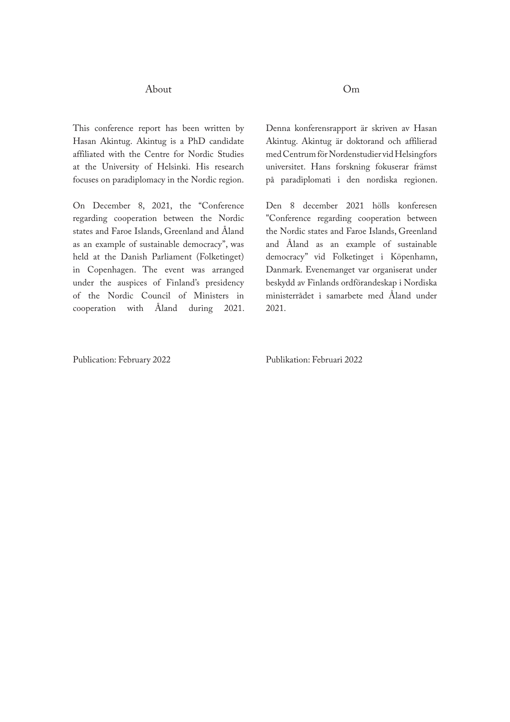#### About

This conference report has been written by Hasan Akintug. Akintug is a PhD candidate affiliated with the Centre for Nordic Studies at the University of Helsinki. His research focuses on paradiplomacy in the Nordic region.

On December 8, 2021, the "Conference regarding cooperation between the Nordic states and Faroe Islands, Greenland and Åland as an example of sustainable democracy", was held at the Danish Parliament (Folketinget) in Copenhagen. The event was arranged under the auspices of Finland's presidency of the Nordic Council of Ministers in cooperation with Åland during 2021. Om

Denna konferensrapport är skriven av Hasan Akintug. Akintug är doktorand och affilierad med Centrum för Nordenstudier vid Helsingfors universitet. Hans forskning fokuserar främst på paradiplomati i den nordiska regionen.

Den 8 december 2021 hölls konferesen "Conference regarding cooperation between the Nordic states and Faroe Islands, Greenland and Åland as an example of sustainable democracy" vid Folketinget i Köpenhamn, Danmark. Evenemanget var organiserat under beskydd av Finlands ordförandeskap i Nordiska ministerrådet i samarbete med Åland under 2021.

Publication: February 2022

Publikation: Februari 2022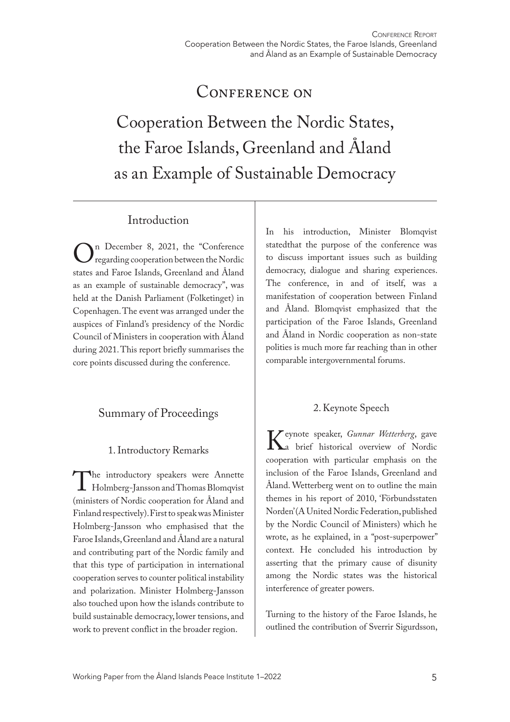## CONFERENCE ON

Cooperation Between the Nordic States, the Faroe Islands, Greenland and Åland as an Example of Sustainable Democracy

## Introduction

On December 8, 2021, the "Conference"<br>regarding cooperation between the Nordic<br>states and Faroe Islands Greenland and Åland regarding cooperation between the Nordic states and Faroe Islands, Greenland and Åland as an example of sustainable democracy", was held at the Danish Parliament (Folketinget) in Copenhagen. The event was arranged under the auspices of Finland's presidency of the Nordic Council of Ministers in cooperation with Åland during 2021. This report briefly summarises the core points discussed during the conference.

## Summary of Proceedings

#### 1. Introductory Remarks

The introductory speakers were Annette<br>Holmberg-Jansson and Thomas Blomqvist<br>(ministers of Nordic cooperation for Åland and Holmberg-Jansson and Thomas Blomqvist (ministers of Nordic cooperation for Åland and Finland respectively). First to speak was Minister Holmberg-Jansson who emphasised that the Faroe Islands, Greenland and Åland are a natural and contributing part of the Nordic family and that this type of participation in international cooperation serves to counter political instability and polarization. Minister Holmberg-Jansson also touched upon how the islands contribute to build sustainable democracy, lower tensions, and work to prevent conflict in the broader region.

In his introduction, Minister Blomqvist statedthat the purpose of the conference was to discuss important issues such as building democracy, dialogue and sharing experiences. The conference, in and of itself, was a manifestation of cooperation between Finland and Åland. Blomqvist emphasized that the participation of the Faroe Islands, Greenland and Åland in Nordic cooperation as non-state polities is much more far reaching than in other comparable intergovernmental forums.

## 2. Keynote Speech

Keynote speaker, *Gunnar Wetterberg*, gave<br>
a brief historical overview of Nordic<br>
cooperation with particular emphasis on the a brief historical overview of Nordic cooperation with particular emphasis on the inclusion of the Faroe Islands, Greenland and Åland. Wetterberg went on to outline the main themes in his report of 2010, 'Förbundsstaten Norden' (A United Nordic Federation, published by the Nordic Council of Ministers) which he wrote, as he explained, in a "post-superpower" context. He concluded his introduction by asserting that the primary cause of disunity among the Nordic states was the historical interference of greater powers.

Turning to the history of the Faroe Islands, he outlined the contribution of Sverrir Sigurdsson,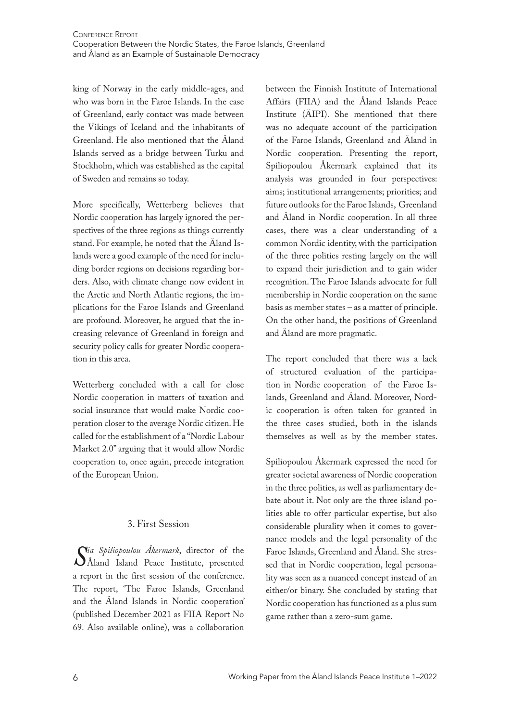king of Norway in the early middle-ages, and who was born in the Faroe Islands. In the case of Greenland, early contact was made between the Vikings of Iceland and the inhabitants of Greenland. He also mentioned that the Åland Islands served as a bridge between Turku and Stockholm, which was established as the capital of Sweden and remains so today.

More specifically, Wetterberg believes that Nordic cooperation has largely ignored the perspectives of the three regions as things currently stand. For example, he noted that the Åland Islands were a good example of the need for including border regions on decisions regarding borders. Also, with climate change now evident in the Arctic and North Atlantic regions, the implications for the Faroe Islands and Greenland are profound. Moreover, he argued that the increasing relevance of Greenland in foreign and security policy calls for greater Nordic cooperation in this area.

Wetterberg concluded with a call for close Nordic cooperation in matters of taxation and social insurance that would make Nordic cooperation closer to the average Nordic citizen. He called for the establishment of a "Nordic Labour Market 2.0" arguing that it would allow Nordic cooperation to, once again, precede integration of the European Union.

#### 3. First Session

*Sia Spiliopoulou Akermark*, director of the<br> *S* Åland Island Peace Institute, presented<br>
a report in the first session of the conference Åland Island Peace Institute, presented a report in the first session of the conference. The report, 'The Faroe Islands, Greenland and the Åland Islands in Nordic cooperation' (published December 2021 as FIIA Report No 69. Also available online), was a collaboration

between the Finnish Institute of International Affairs (FIIA) and the Åland Islands Peace Institute (ÅIPI). She mentioned that there was no adequate account of the participation of the Faroe Islands, Greenland and Åland in Nordic cooperation. Presenting the report, Spiliopoulou Åkermark explained that its analysis was grounded in four perspectives: aims; institutional arrangements; priorities; and future outlooks for the Faroe Islands, Greenland and Åland in Nordic cooperation. In all three cases, there was a clear understanding of a common Nordic identity, with the participation of the three polities resting largely on the will to expand their jurisdiction and to gain wider recognition. The Faroe Islands advocate for full membership in Nordic cooperation on the same basis as member states – as a matter of principle. On the other hand, the positions of Greenland and Åland are more pragmatic.

The report concluded that there was a lack of structured evaluation of the participation in Nordic cooperation of the Faroe Islands, Greenland and Åland. Moreover, Nordic cooperation is often taken for granted in the three cases studied, both in the islands themselves as well as by the member states.

Spiliopoulou Åkermark expressed the need for greater societal awareness of Nordic cooperation in the three polities, as well as parliamentary debate about it. Not only are the three island polities able to offer particular expertise, but also considerable plurality when it comes to governance models and the legal personality of the Faroe Islands, Greenland and Åland. She stressed that in Nordic cooperation, legal personality was seen as a nuanced concept instead of an either/or binary. She concluded by stating that Nordic cooperation has functioned as a plus sum game rather than a zero-sum game.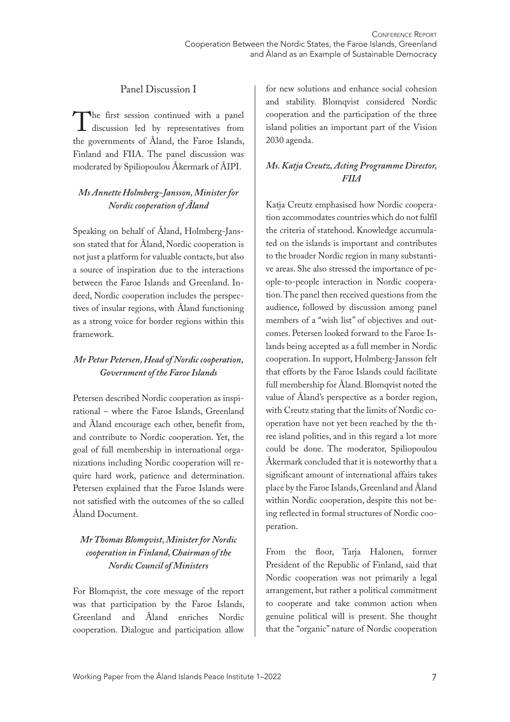#### Panel Discussion I

The first session continued with a panel<br>discussion led by representatives from<br>the governments of Åland the Faroe Islands discussion led by representatives from the governments of Åland, the Faroe Islands, Finland and FIIA. The panel discussion was moderated by Spiliopoulou Åkermark of ÅIPI.

#### *Ms Annette Holmberg-Jansson, Minister for Nordic cooperation of Åland*

Speaking on behalf of Åland, Holmberg-Jansson stated that for Åland, Nordic cooperation is not just a platform for valuable contacts, but also a source of inspiration due to the interactions between the Faroe Islands and Greenland. Indeed, Nordic cooperation includes the perspectives of insular regions, with Åland functioning as a strong voice for border regions within this framework.

#### *Mr Petur Petersen, Head of Nordic cooperation, Government of the Faroe Islands*

Petersen described Nordic cooperation as inspirational – where the Faroe Islands, Greenland and Åland encourage each other, benefit from, and contribute to Nordic cooperation. Yet, the goal of full membership in international organizations including Nordic cooperation will require hard work, patience and determination. Petersen explained that the Faroe Islands were not satisfied with the outcomes of the so called Åland Document.

#### *Mr Thomas Blomqvist, Minister for Nordic cooperation in Finland, Chairman of the Nordic Council of Ministers*

For Blomqvist, the core message of the report was that participation by the Faroe Islands, Greenland and Åland enriches Nordic cooperation. Dialogue and participation allow

for new solutions and enhance social cohesion and stability. Blomqvist considered Nordic cooperation and the participation of the three island polities an important part of the Vision 2030 agenda.

#### *Ms. Katja Creutz, Acting Programme Director, FIIA*

Katja Creutz emphasised how Nordic cooperation accommodates countries which do not fulfil the criteria of statehood. Knowledge accumulated on the islands is important and contributes to the broader Nordic region in many substantive areas. She also stressed the importance of people-to-people interaction in Nordic cooperation. The panel then received questions from the audience, followed by discussion among panel members of a "wish list" of objectives and outcomes. Petersen looked forward to the Faroe Islands being accepted as a full member in Nordic cooperation. In support, Holmberg-Jansson felt that efforts by the Faroe Islands could facilitate full membership for Åland. Blomqvist noted the value of Åland's perspective as a border region, with Creutz stating that the limits of Nordic cooperation have not yet been reached by the three island polities, and in this regard a lot more could be done. The moderator, Spiliopoulou Åkermark concluded that it is noteworthy that a significant amount of international affairs takes place by the Faroe Islands, Greenland and Åland within Nordic cooperation, despite this not being reflected in formal structures of Nordic cooperation.

From the floor, Tarja Halonen, former President of the Republic of Finland, said that Nordic cooperation was not primarily a legal arrangement, but rather a political commitment to cooperate and take common action when genuine political will is present. She thought that the "organic" nature of Nordic cooperation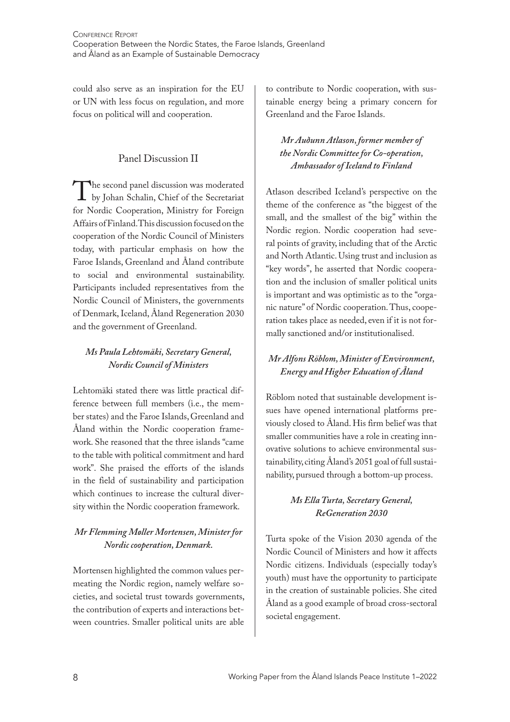could also serve as an inspiration for the EU or UN with less focus on regulation, and more focus on political will and cooperation.

#### Panel Discussion II

The second panel discussion was moderated<br>by Johan Schalin, Chief of the Secretariat<br>for Nordic Cooperation Ministry for Foreign by Johan Schalin, Chief of the Secretariat for Nordic Cooperation, Ministry for Foreign Affairs of Finland. This discussion focused on the cooperation of the Nordic Council of Ministers today, with particular emphasis on how the Faroe Islands, Greenland and Åland contribute to social and environmental sustainability. Participants included representatives from the Nordic Council of Ministers, the governments of Denmark, Iceland, Åland Regeneration 2030 and the government of Greenland.

#### *Ms Paula Lehtomäki, Secretary General, Nordic Council of Ministers*

Lehtomäki stated there was little practical difference between full members (i.e., the member states) and the Faroe Islands, Greenland and Åland within the Nordic cooperation framework. She reasoned that the three islands "came to the table with political commitment and hard work". She praised the efforts of the islands in the field of sustainability and participation which continues to increase the cultural diversity within the Nordic cooperation framework.

#### *Mr Flemming Møller Mortensen, Minister for Nordic cooperation, Denmark.*

Mortensen highlighted the common values permeating the Nordic region, namely welfare societies, and societal trust towards governments, the contribution of experts and interactions between countries. Smaller political units are able

to contribute to Nordic cooperation, with sustainable energy being a primary concern for Greenland and the Faroe Islands.

#### *Mr Auðunn Atlason, former member of the Nordic Committee for Co-operation, Ambassador of Iceland to Finland*

Atlason described Iceland's perspective on the theme of the conference as "the biggest of the small, and the smallest of the big" within the Nordic region. Nordic cooperation had several points of gravity, including that of the Arctic and North Atlantic. Using trust and inclusion as "key words", he asserted that Nordic cooperation and the inclusion of smaller political units is important and was optimistic as to the "organic nature" of Nordic cooperation. Thus, cooperation takes place as needed, even if it is not formally sanctioned and/or institutionalised.

#### *Mr Alfons Röblom, Minister of Environment, Energy and Higher Education of Åland*

Röblom noted that sustainable development issues have opened international platforms previously closed to Åland. His firm belief was that smaller communities have a role in creating innovative solutions to achieve environmental sustainability, citing Åland's 2051 goal of full sustainability, pursued through a bottom-up process.

#### *Ms Ella Turta, Secretary General, ReGeneration 2030*

Turta spoke of the Vision 2030 agenda of the Nordic Council of Ministers and how it affects Nordic citizens. Individuals (especially today's youth) must have the opportunity to participate in the creation of sustainable policies. She cited Åland as a good example of broad cross-sectoral societal engagement.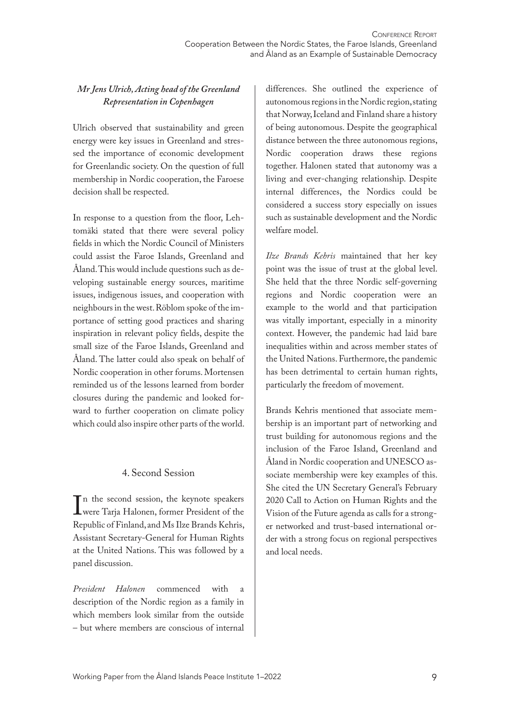#### *Mr Jens Ulrich, Acting head of the Greenland Representation in Copenhagen*

Ulrich observed that sustainability and green energy were key issues in Greenland and stressed the importance of economic development for Greenlandic society. On the question of full membership in Nordic cooperation, the Faroese decision shall be respected.

In response to a question from the floor, Lehtomäki stated that there were several policy fields in which the Nordic Council of Ministers could assist the Faroe Islands, Greenland and Åland. This would include questions such as developing sustainable energy sources, maritime issues, indigenous issues, and cooperation with neighbours in the west. Röblom spoke of the importance of setting good practices and sharing inspiration in relevant policy fields, despite the small size of the Faroe Islands, Greenland and Åland. The latter could also speak on behalf of Nordic cooperation in other forums. Mortensen reminded us of the lessons learned from border closures during the pandemic and looked forward to further cooperation on climate policy which could also inspire other parts of the world.

#### 4. Second Session

 $\prod_{\mathrm{Re}}$ n the second session, the keynote speakers were Tarja Halonen, former President of the Republic of Finland, and Ms Ilze Brands Kehris, Assistant Secretary-General for Human Rights at the United Nations. This was followed by a panel discussion.

*President Halonen* commenced with a description of the Nordic region as a family in which members look similar from the outside – but where members are conscious of internal differences. She outlined the experience of autonomous regions in the Nordic region, stating that Norway, Iceland and Finland share a history of being autonomous. Despite the geographical distance between the three autonomous regions, Nordic cooperation draws these regions together. Halonen stated that autonomy was a living and ever-changing relationship. Despite internal differences, the Nordics could be considered a success story especially on issues such as sustainable development and the Nordic welfare model.

*Ilze Brands Kehris* maintained that her key point was the issue of trust at the global level. She held that the three Nordic self-governing regions and Nordic cooperation were an example to the world and that participation was vitally important, especially in a minority context. However, the pandemic had laid bare inequalities within and across member states of the United Nations. Furthermore, the pandemic has been detrimental to certain human rights, particularly the freedom of movement.

Brands Kehris mentioned that associate membership is an important part of networking and trust building for autonomous regions and the inclusion of the Faroe Island, Greenland and Åland in Nordic cooperation and UNESCO associate membership were key examples of this. She cited the UN Secretary General's February 2020 Call to Action on Human Rights and the Vision of the Future agenda as calls for a stronger networked and trust-based international order with a strong focus on regional perspectives and local needs.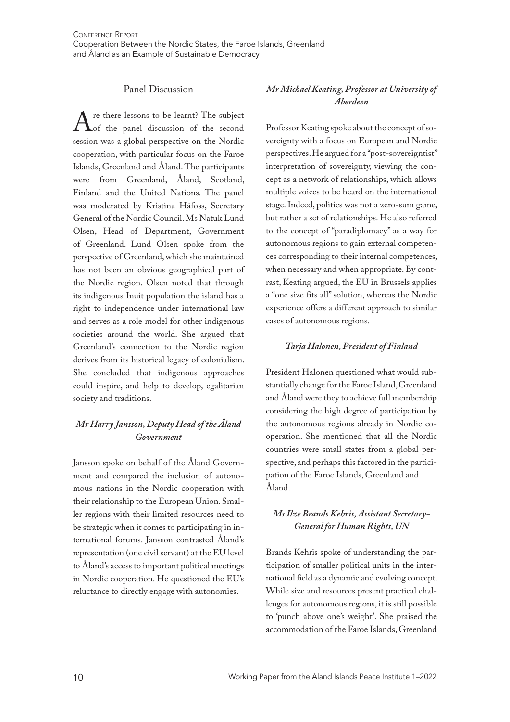#### Panel Discussion

 $\Lambda$  re there lessons to be learnt? The subject<br>of the panel discussion of the second<br>session was a global perspective on the Nordic of the panel discussion of the second session was a global perspective on the Nordic cooperation, with particular focus on the Faroe Islands, Greenland and Åland. The participants were from Greenland, Åland, Scotland, Finland and the United Nations. The panel was moderated by Kristina Háfoss, Secretary General of the Nordic Council. Ms Natuk Lund Olsen, Head of Department, Government of Greenland. Lund Olsen spoke from the perspective of Greenland, which she maintained has not been an obvious geographical part of the Nordic region. Olsen noted that through its indigenous Inuit population the island has a right to independence under international law and serves as a role model for other indigenous societies around the world. She argued that Greenland's connection to the Nordic region derives from its historical legacy of colonialism. She concluded that indigenous approaches could inspire, and help to develop, egalitarian society and traditions.

#### *Mr Harry Jansson, Deputy Head of the Åland Government*

Jansson spoke on behalf of the Åland Government and compared the inclusion of autonomous nations in the Nordic cooperation with their relationship to the European Union. Smaller regions with their limited resources need to be strategic when it comes to participating in international forums. Jansson contrasted Åland's representation (one civil servant) at the EU level to Åland's access to important political meetings in Nordic cooperation. He questioned the EU's reluctance to directly engage with autonomies.

#### *Mr Michael Keating, Professor at University of Aberdeen*

Professor Keating spoke about the concept of sovereignty with a focus on European and Nordic perspectives. He argued for a "post-sovereigntist" interpretation of sovereignty, viewing the concept as a network of relationships, which allows multiple voices to be heard on the international stage. Indeed, politics was not a zero-sum game, but rather a set of relationships. He also referred to the concept of "paradiplomacy" as a way for autonomous regions to gain external competences corresponding to their internal competences, when necessary and when appropriate. By contrast, Keating argued, the EU in Brussels applies a "one size fits all" solution, whereas the Nordic experience offers a different approach to similar cases of autonomous regions.

#### *Tarja Halonen, President of Finland*

President Halonen questioned what would substantially change for the Faroe Island, Greenland and Åland were they to achieve full membership considering the high degree of participation by the autonomous regions already in Nordic cooperation. She mentioned that all the Nordic countries were small states from a global perspective, and perhaps this factored in the participation of the Faroe Islands, Greenland and Åland.

#### *Ms Ilze Brands Kehris, Assistant Secretary-General for Human Rights, UN*

Brands Kehris spoke of understanding the participation of smaller political units in the international field as a dynamic and evolving concept. While size and resources present practical challenges for autonomous regions, it is still possible to 'punch above one's weight'. She praised the accommodation of the Faroe Islands, Greenland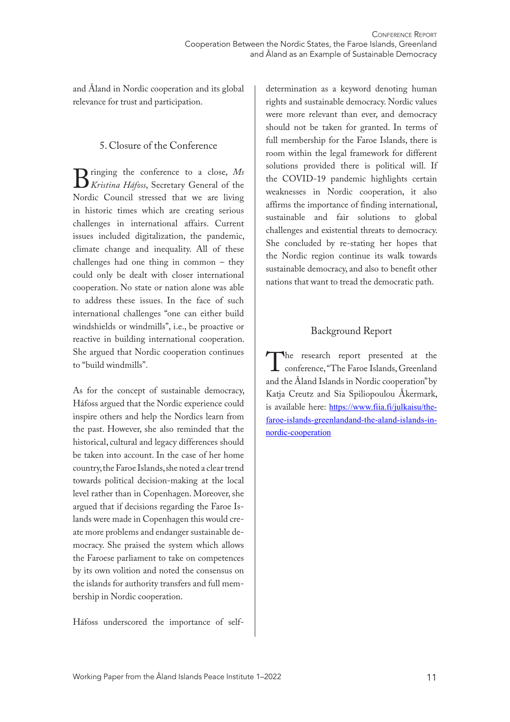and Åland in Nordic cooperation and its global relevance for trust and participation.

#### 5. Closure of the Conference

Bringing the conference to a close, *Ms*<br>*Kristina Háfoss*, Secretary General of the<br>Nordic Council stressed that we are living *Kristina Háfoss*, Secretary General of the Nordic Council stressed that we are living in historic times which are creating serious challenges in international affairs. Current issues included digitalization, the pandemic, climate change and inequality. All of these challenges had one thing in common – they could only be dealt with closer international cooperation. No state or nation alone was able to address these issues. In the face of such international challenges "one can either build windshields or windmills", i.e., be proactive or reactive in building international cooperation. She argued that Nordic cooperation continues to "build windmills".

As for the concept of sustainable democracy, Háfoss argued that the Nordic experience could inspire others and help the Nordics learn from the past. However, she also reminded that the historical, cultural and legacy differences should be taken into account. In the case of her home country, the Faroe Islands, she noted a clear trend towards political decision-making at the local level rather than in Copenhagen. Moreover, she argued that if decisions regarding the Faroe Islands were made in Copenhagen this would create more problems and endanger sustainable democracy. She praised the system which allows the Faroese parliament to take on competences by its own volition and noted the consensus on the islands for authority transfers and full membership in Nordic cooperation.

Háfoss underscored the importance of self-

determination as a keyword denoting human rights and sustainable democracy. Nordic values were more relevant than ever, and democracy should not be taken for granted. In terms of full membership for the Faroe Islands, there is room within the legal framework for different solutions provided there is political will. If the COVID-19 pandemic highlights certain weaknesses in Nordic cooperation, it also affirms the importance of finding international, sustainable and fair solutions to global challenges and existential threats to democracy. She concluded by re-stating her hopes that the Nordic region continue its walk towards sustainable democracy, and also to benefit other nations that want to tread the democratic path.

#### Background Report

The research report presented at the<br>conference, "The Faroe Islands, Greenland<br>and the Åland Islands in Nordic cooperation" by conference, "The Faroe Islands, Greenland and the Åland Islands in Nordic cooperation" by Katja Creutz and Sia Spiliopoulou Åkermark, is available here: https://www.fiia.fi/julkaisu/thefaroe-islands-greenlandand-the-aland-islands-innordic-cooperation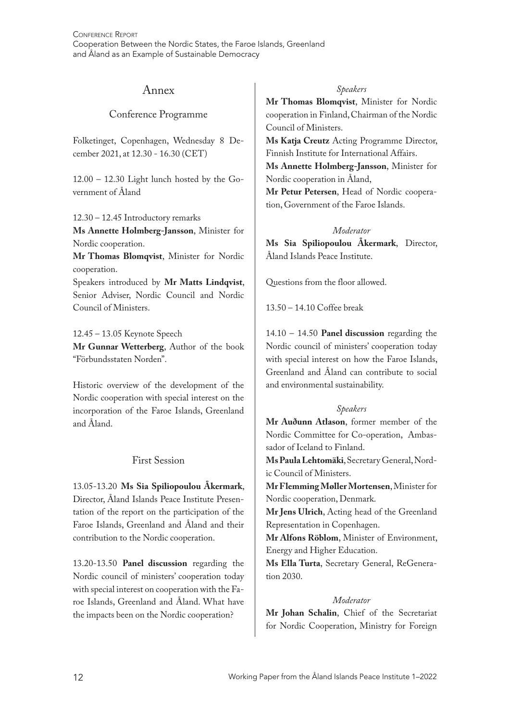#### Annex

#### Conference Programme

Folketinget, Copenhagen, Wednesday 8 December 2021, at 12.30 - 16.30 (CET)

12.00 – 12.30 Light lunch hosted by the Government of Åland

12.30 – 12.45 Introductory remarks

**Ms Annette Holmberg-Jansson**, Minister for Nordic cooperation.

**Mr Thomas Blomqvist**, Minister for Nordic cooperation.

Speakers introduced by **Mr Matts Lindqvist**, Senior Adviser, Nordic Council and Nordic Council of Ministers.

12.45 – 13.05 Keynote Speech

**Mr Gunnar Wetterberg**, Author of the book "Förbundsstaten Norden".

Historic overview of the development of the Nordic cooperation with special interest on the incorporation of the Faroe Islands, Greenland and Åland.

#### First Session

13.05-13.20 **Ms Sia Spiliopoulou Åkermark**, Director, Åland Islands Peace Institute Presentation of the report on the participation of the Faroe Islands, Greenland and Åland and their contribution to the Nordic cooperation.

13.20-13.50 **Panel discussion** regarding the Nordic council of ministers' cooperation today with special interest on cooperation with the Faroe Islands, Greenland and Åland. What have the impacts been on the Nordic cooperation?

#### *Speakers*

**Mr Thomas Blomqvist**, Minister for Nordic cooperation in Finland, Chairman of the Nordic Council of Ministers.

**Ms Katja Creutz** Acting Programme Director, Finnish Institute for International Affairs.

**Ms Annette Holmberg-Jansson**, Minister for Nordic cooperation in Åland,

**Mr Petur Petersen**, Head of Nordic cooperation, Government of the Faroe Islands.

#### *Moderator*

**Ms Sia Spiliopoulou Åkermark**, Director, Åland Islands Peace Institute.

Questions from the floor allowed.

13.50 – 14.10 Coffee break

14.10 – 14.50 **Panel discussion** regarding the Nordic council of ministers' cooperation today with special interest on how the Faroe Islands, Greenland and Åland can contribute to social and environmental sustainability.

#### *Speakers*

**Mr Auðunn Atlason**, former member of the Nordic Committee for Co-operation, Ambassador of Iceland to Finland.

**Ms Paula Lehtomäki**, Secretary General, Nordic Council of Ministers.

**Mr Flemming Møller Mortensen**, Minister for Nordic cooperation, Denmark.

**Mr Jens Ulrich**, Acting head of the Greenland Representation in Copenhagen.

**Mr Alfons Röblom**, Minister of Environment, Energy and Higher Education.

**Ms Ella Turta**, Secretary General, ReGeneration 2030.

#### *Moderator*

**Mr Johan Schalin**, Chief of the Secretariat for Nordic Cooperation, Ministry for Foreign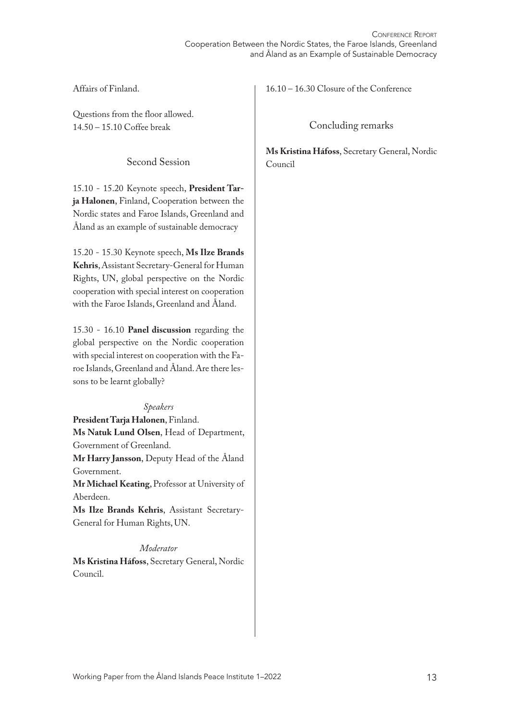Affairs of Finland.

Questions from the floor allowed. 14.50 – 15.10 Coffee break

Second Session

15.10 - 15.20 Keynote speech, **President Tarja Halonen**, Finland, Cooperation between the Nordic states and Faroe Islands, Greenland and Åland as an example of sustainable democracy

15.20 - 15.30 Keynote speech, **Ms Ilze Brands Kehris**, Assistant Secretary-General for Human Rights, UN, global perspective on the Nordic cooperation with special interest on cooperation with the Faroe Islands, Greenland and Åland.

15.30 - 16.10 **Panel discussion** regarding the global perspective on the Nordic cooperation with special interest on cooperation with the Faroe Islands, Greenland and Åland. Are there lessons to be learnt globally?

*Speakers* **President Tarja Halonen**, Finland. **Ms Natuk Lund Olsen**, Head of Department, Government of Greenland.

**Mr Harry Jansson**, Deputy Head of the Åland Government.

**Mr Michael Keating**, Professor at University of Aberdeen.

**Ms Ilze Brands Kehris**, Assistant Secretary-General for Human Rights, UN.

*Moderator*

**Ms Kristina Háfoss**, Secretary General, Nordic Council.

16.10 – 16.30 Closure of the Conference

Concluding remarks

**Ms Kristina Háfoss**, Secretary General, Nordic Council